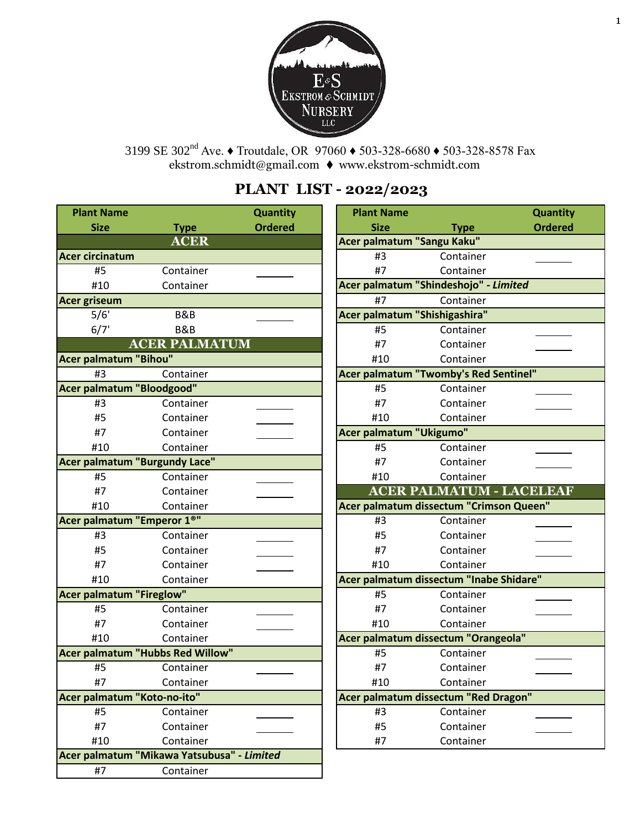

[ekstrom.schm](mailto:ekstrom.schmidt@gmail.com)idt@gmail.com ♦ [www.ekstrom-schmidt.com](http://www.ekstrom-schmidt.com/) 3199 SE 302<sup>nd</sup> Ave. ♦ Troutdale, OR 97060 ♦ 503-328-6680 ♦ 503-328-8578 Fax

# **PLANT LIST - 2022/2023**

| <b>Plant Name</b>                          |                      | Quantity       | <b>Plant Name</b>             |                                         | Quantity       |
|--------------------------------------------|----------------------|----------------|-------------------------------|-----------------------------------------|----------------|
| <b>Size</b>                                | <b>Type</b>          | <b>Ordered</b> | <b>Size</b>                   | <b>Type</b>                             | <b>Ordered</b> |
|                                            | <b>ACER</b>          |                | Acer palmatum "Sangu Kaku"    |                                         |                |
| <b>Acer circinatum</b>                     |                      |                | #3                            | Container                               |                |
| #5                                         | Container            |                | #7                            | Container                               |                |
| #10                                        | Container            |                |                               | Acer palmatum "Shindeshojo" - Limited   |                |
| <b>Acer griseum</b>                        |                      |                | #7                            | Container                               |                |
| 5/6'                                       | B&B                  |                | Acer palmatum "Shishigashira" |                                         |                |
| 6/7'                                       | <b>B&amp;B</b>       |                | #5                            | Container                               |                |
|                                            | <b>ACER PALMATUM</b> |                | #7                            | Container                               |                |
| <b>Acer palmatum "Bihou"</b>               |                      |                | #10                           | Container                               |                |
| #3                                         | Container            |                |                               | Acer palmatum "Twomby's Red Sentinel"   |                |
| Acer palmatum "Bloodgood"                  |                      |                | #5                            | Container                               |                |
| #3                                         | Container            |                | #7                            | Container                               |                |
| #5                                         | Container            |                | #10                           | Container                               |                |
| #7                                         | Container            |                | Acer palmatum "Ukigumo"       |                                         |                |
| #10                                        | Container            |                | #5                            | Container                               |                |
| <b>Acer palmatum "Burgundy Lace"</b>       |                      |                | #7                            | Container                               |                |
| #5                                         | Container            |                | #10                           | Container                               |                |
| #7                                         | Container            |                |                               | <b>ACER PALMATUM - LACELEAF</b>         |                |
| #10                                        | Container            |                |                               | Acer palmatum dissectum "Crimson Queen" |                |
| Acer palmatum "Emperor 1 <sup>®"</sup>     |                      |                | #3                            | Container                               |                |
| #3                                         | Container            |                | #5                            | Container                               |                |
| #5                                         | Container            |                | #7                            | Container                               |                |
| #7                                         | Container            |                | #10                           | Container                               |                |
| #10                                        | Container            |                |                               | Acer palmatum dissectum "Inabe Shidare" |                |
| <b>Acer palmatum "Fireglow"</b>            |                      |                | #5                            | Container                               |                |
| #5                                         | Container            |                | #7                            | Container                               |                |
| #7                                         | Container            |                | #10                           | Container                               |                |
| #10                                        | Container            |                |                               | Acer palmatum dissectum "Orangeola"     |                |
| <b>Acer palmatum "Hubbs Red Willow"</b>    |                      |                | #5                            | Container                               |                |
| #5                                         | Container            |                | #7                            | Container                               |                |
| #7                                         | Container            |                | #10                           | Container                               |                |
| Acer palmatum "Koto-no-ito"                |                      |                |                               | Acer palmatum dissectum "Red Dragon"    |                |
| #5                                         | Container            |                | #3                            | Container                               |                |
| #7                                         | Container            |                | #5                            | Container                               |                |
| #10                                        | Container            |                | #7                            | Container                               |                |
| Acer palmatum "Mikawa Yatsubusa" - Limited |                      |                |                               |                                         |                |
| #7                                         | Container            |                |                               |                                         |                |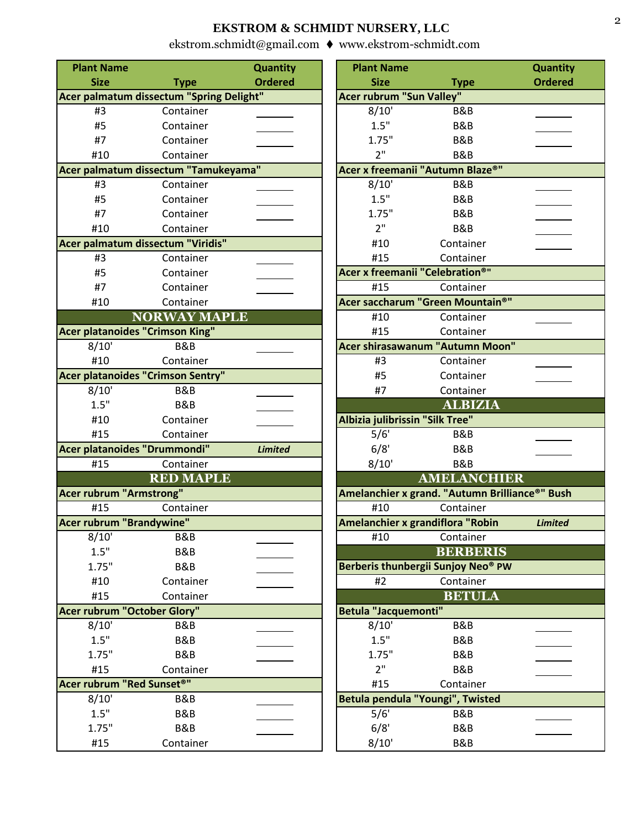| <b>Plant Name</b>                      |                                          | <b>Quantity</b> | <b>Plant Name</b>                      |                                                | Quantity       |
|----------------------------------------|------------------------------------------|-----------------|----------------------------------------|------------------------------------------------|----------------|
| <b>Size</b>                            | <b>Type</b>                              | <b>Ordered</b>  | <b>Size</b>                            | <b>Type</b>                                    | <b>Ordered</b> |
|                                        | Acer palmatum dissectum "Spring Delight" |                 | <b>Acer rubrum "Sun Valley"</b>        |                                                |                |
| #3                                     | Container                                |                 | 8/10'                                  | B&B                                            |                |
| #5                                     | Container                                |                 | 1.5"                                   | B&B                                            |                |
| #7                                     | Container                                |                 | 1.75"                                  | <b>B&amp;B</b>                                 |                |
| #10                                    | Container                                |                 | 2 <sup>11</sup>                        | <b>B&amp;B</b>                                 |                |
|                                        | Acer palmatum dissectum "Tamukeyama"     |                 | Acer x freemanii "Autumn Blaze®"       |                                                |                |
| #3                                     | Container                                |                 | 8/10'                                  | <b>B&amp;B</b>                                 |                |
| #5                                     | Container                                |                 | 1.5"                                   | <b>B&amp;B</b>                                 |                |
| #7                                     | Container                                |                 | 1.75"                                  | B&B                                            |                |
| #10                                    | Container                                |                 | 2"                                     | <b>B&amp;B</b>                                 |                |
|                                        | Acer palmatum dissectum "Viridis"        |                 | #10                                    | Container                                      |                |
| #3                                     | Container                                |                 | #15                                    | Container                                      |                |
| #5                                     | Container                                |                 | <b>Acer x freemanii "Celebration®"</b> |                                                |                |
| #7                                     | Container                                |                 | #15                                    | Container                                      |                |
| #10                                    | Container                                |                 |                                        | Acer saccharum "Green Mountain®"               |                |
|                                        | <b>NORWAY MAPLE</b>                      |                 | #10                                    | Container                                      |                |
| <b>Acer platanoides "Crimson King"</b> |                                          |                 | #15                                    | Container                                      |                |
| 8/10'                                  | <b>B&amp;B</b>                           |                 |                                        | <b>Acer shirasawanum "Autumn Moon"</b>         |                |
| #10                                    | Container                                |                 | #3                                     | Container                                      |                |
|                                        | Acer platanoides "Crimson Sentry"        |                 | #5                                     | Container                                      |                |
| 8/10'                                  | <b>B&amp;B</b>                           |                 | #7                                     | Container                                      |                |
| 1.5"                                   | <b>B&amp;B</b>                           |                 |                                        | <b>ALBIZIA</b>                                 |                |
| #10                                    | Container                                |                 | Albizia julibrissin "Silk Tree"        |                                                |                |
| #15                                    | Container                                |                 | 5/6'                                   | B&B                                            |                |
| Acer platanoides "Drummondi"           |                                          | <b>Limited</b>  | 6/8'                                   | B&B                                            |                |
| #15                                    | Container                                |                 | 8/10'                                  | <b>B&amp;B</b>                                 |                |
|                                        | <b>RED MAPLE</b>                         |                 |                                        | <b>AMELANCHIER</b>                             |                |
| <b>Acer rubrum "Armstrong"</b>         |                                          |                 |                                        | Amelanchier x grand. "Autumn Brilliance®" Bush |                |
| #15                                    | Container                                |                 | #10                                    | Container                                      |                |
| Acer rubrum "Brandywine"               |                                          |                 | Amelanchier x grandiflora "Robin       |                                                | <b>Limited</b> |
| 8/10'                                  | B&B                                      |                 | #10                                    | Container                                      |                |
| 1.5"                                   | <b>B&amp;B</b>                           |                 |                                        | <b>BERBERIS</b>                                |                |
| 1.75"                                  | <b>B&amp;B</b>                           |                 |                                        | Berberis thunbergii Sunjoy Neo® PW             |                |
| #10                                    | Container                                |                 | #2                                     | Container                                      |                |
| #15                                    | Container                                |                 |                                        | <b>BETULA</b>                                  |                |
| <b>Acer rubrum "October Glory"</b>     |                                          |                 | <b>Betula "Jacquemonti"</b>            |                                                |                |
| 8/10'                                  | B&B                                      |                 | 8/10'                                  | <b>B&amp;B</b>                                 |                |
| 1.5"                                   | <b>B&amp;B</b>                           |                 | 1.5"                                   | B&B                                            |                |
| 1.75"                                  | <b>B&amp;B</b>                           |                 | 1.75"                                  | <b>B&amp;B</b>                                 |                |
| #15                                    | Container                                |                 | 2"                                     | <b>B&amp;B</b>                                 |                |
| Acer rubrum "Red Sunset®"              |                                          |                 | #15                                    | Container                                      |                |
| 8/10'                                  | B&B                                      |                 | Betula pendula "Youngi", Twisted       |                                                |                |
| 1.5"                                   | <b>B&amp;B</b>                           |                 | 5/6'                                   | <b>B&amp;B</b>                                 |                |
| 1.75"                                  | B&B                                      |                 | 6/8'                                   | <b>B&amp;B</b>                                 |                |
| #15                                    | Container                                |                 | 8/10'                                  | B&B                                            |                |

| <b>it Name</b> |                                    | <b>Quantity</b> | <b>Plant Name</b>                              |                    | <b>Quantity</b> |
|----------------|------------------------------------|-----------------|------------------------------------------------|--------------------|-----------------|
| <b>Size</b>    | <b>Type</b>                        | <b>Ordered</b>  | <b>Size</b>                                    | <b>Type</b>        | <b>Ordered</b>  |
|                | almatum dissectum "Spring Delight" |                 | <b>Acer rubrum "Sun Valley"</b>                |                    |                 |
| #3             | Container                          |                 | 8/10'                                          | B&B                |                 |
| #5             | Container                          |                 | 1.5"                                           | <b>B&amp;B</b>     |                 |
| #7             | Container                          |                 | 1.75"                                          | <b>B&amp;B</b>     |                 |
| #10            | Container                          |                 | 2"                                             | <b>B&amp;B</b>     |                 |
|                | almatum dissectum "Tamukeyama"     |                 | Acer x freemanii "Autumn Blaze®"               |                    |                 |
| #3             | Container                          |                 | 8/10'                                          | B&B                |                 |
| #5             | Container                          |                 | 1.5"                                           | B&B                |                 |
| #7             | Container                          |                 | 1.75"                                          | B&B                |                 |
| #10            | Container                          |                 | 2"                                             | <b>B&amp;B</b>     |                 |
|                | almatum dissectum "Viridis"        |                 | #10                                            | Container          |                 |
| #3             | Container                          |                 | #15                                            | Container          |                 |
| #5             | Container                          |                 | <b>Acer x freemanii "Celebration®"</b>         |                    |                 |
| #7             | Container                          |                 | #15                                            | Container          |                 |
| #10            | Container                          |                 | Acer saccharum "Green Mountain®"               |                    |                 |
|                | <b>NORWAY MAPLE</b>                |                 | #10                                            | Container          |                 |
|                | latanoides "Crimson King"          |                 | #15                                            | Container          |                 |
| 3/10'          | B&B                                |                 | Acer shirasawanum "Autumn Moon"                |                    |                 |
| #10            | Container                          |                 | #3                                             | Container          |                 |
|                | <b>latanoides "Crimson Sentry"</b> |                 | #5                                             | Container          |                 |
| 3/10'<br>1.5"  | B&B<br><b>B&amp;B</b>              |                 | #7                                             | Container          |                 |
| #10            | Container                          |                 | Albizia julibrissin "Silk Tree"                | <b>ALBIZIA</b>     |                 |
| #15            | Container                          |                 | $\overline{5/6}$                               | B&B                |                 |
|                | latanoides "Drummondi"             | <b>Limited</b>  | 6/8'                                           | B&B                |                 |
| #15            | Container                          |                 | 8/10'                                          | B&B                |                 |
|                | <b>RED MAPLE</b>                   |                 |                                                | <b>AMELANCHIER</b> |                 |
|                | <b>Ibrum "Armstrong"</b>           |                 | Amelanchier x grand. "Autumn Brilliance®" Bush |                    |                 |
| #15            | Container                          |                 | #10                                            | Container          |                 |
|                | <b>Ibrum "Brandywine"</b>          |                 | Amelanchier x grandiflora "Robin               |                    | <b>Limited</b>  |
| 3/10'          | B&B                                |                 | #10                                            | Container          |                 |
| 1.5"           | <b>B&amp;B</b>                     |                 |                                                | <b>BERBERIS</b>    |                 |
| 1.75"          | <b>B&amp;B</b>                     |                 | Berberis thunbergii Sunjoy Neo® PW             |                    |                 |
| #10            | Container                          |                 | #2                                             | Container          |                 |
| #15            | Container                          |                 |                                                | <b>BETULA</b>      |                 |
|                | <b>Ibrum "October Glory"</b>       |                 | <b>Betula "Jacquemonti"</b>                    |                    |                 |
| 3/10'          | B&B                                |                 | 8/10'                                          | B&B                |                 |
| 1.5"           | <b>B&amp;B</b>                     |                 | 1.5"                                           | <b>B&amp;B</b>     |                 |
| 1.75"          | <b>B&amp;B</b>                     |                 | 1.75"                                          | B&B                |                 |
| #15            | Container                          |                 | 2"                                             | B&B                |                 |
|                | ubrum "Red Sunset®"                |                 | #15                                            | Container          |                 |
| 3/10'          | B&B                                |                 | Betula pendula "Youngi", Twisted               |                    |                 |
| 1.5"           | B&B                                |                 | 5/6'                                           | B&B                |                 |
| 1.75"          | <b>B&amp;B</b>                     |                 | 6/8'                                           | <b>B&amp;B</b>     |                 |
| #15            | Container                          |                 | 8/10'                                          | B&B                |                 |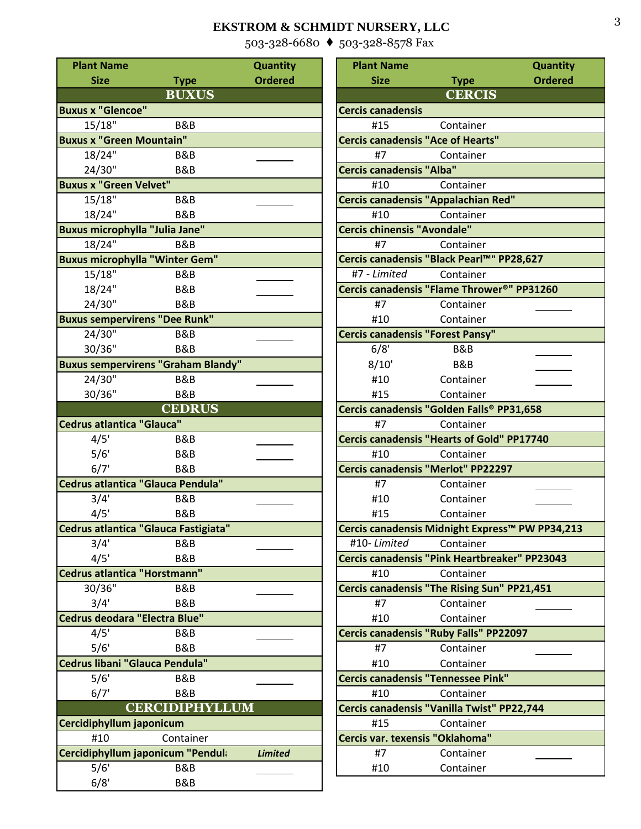[503-328-6680](mailto:ekstrom.schmidt@gmail.com) ♦ [503-328-8578 Fax](http://www.ekstrom-schmidt.com/)

| <b>Plant Name</b>                         |                       | <b>Quantity</b> | <b>Plant Name</b>                        |                                                                      | Quantity       |
|-------------------------------------------|-----------------------|-----------------|------------------------------------------|----------------------------------------------------------------------|----------------|
| <b>Size</b>                               | <b>Type</b>           | <b>Ordered</b>  | <b>Size</b>                              | <b>Type</b>                                                          | <b>Ordered</b> |
|                                           | <b>BUXUS</b>          |                 |                                          | <b>CERCIS</b>                                                        |                |
| <b>Buxus x "Glencoe"</b>                  |                       |                 | <b>Cercis canadensis</b>                 |                                                                      |                |
| 15/18"                                    | <b>B&amp;B</b>        |                 | #15                                      | Container                                                            |                |
| <b>Buxus x "Green Mountain"</b>           |                       |                 | <b>Cercis canadensis "Ace of Hearts"</b> |                                                                      |                |
| 18/24"                                    | B&B                   |                 | #7                                       | Container                                                            |                |
| 24/30"                                    | <b>B&amp;B</b>        |                 | <b>Cercis canadensis "Alba"</b>          |                                                                      |                |
| <b>Buxus x "Green Velvet"</b>             |                       |                 | #10                                      | Container                                                            |                |
| 15/18"                                    | B&B                   |                 |                                          | <b>Cercis canadensis "Appalachian Red"</b>                           |                |
| 18/24"                                    | <b>B&amp;B</b>        |                 | #10                                      | Container                                                            |                |
| <b>Buxus microphylla "Julia Jane"</b>     |                       |                 | <b>Cercis chinensis "Avondale"</b>       |                                                                      |                |
| $18/24$ "                                 | <b>B&amp;B</b>        |                 | #7                                       |                                                                      |                |
|                                           |                       |                 |                                          | Container<br>Cercis canadensis "Black Pearl™" PP28,627               |                |
| <b>Buxus microphylla "Winter Gem"</b>     |                       |                 |                                          |                                                                      |                |
| 15/18"                                    | B&B                   |                 | #7 - Limited                             | Container<br>Cercis canadensis "Flame Thrower <sup>®</sup> " PP31260 |                |
| 18/24"                                    | <b>B&amp;B</b>        |                 |                                          |                                                                      |                |
| 24/30"                                    | B&B                   |                 | #7                                       | Container                                                            |                |
| <b>Buxus sempervirens "Dee Runk"</b>      |                       |                 | #10                                      | Container                                                            |                |
| 24/30"                                    | <b>B&amp;B</b>        |                 | <b>Cercis canadensis "Forest Pansy"</b>  |                                                                      |                |
| 30/36"                                    | B&B                   |                 | 6/8'                                     | B&B                                                                  |                |
| <b>Buxus sempervirens "Graham Blandy"</b> |                       |                 | 8/10'                                    | B&B                                                                  |                |
| 24/30"                                    | <b>B&amp;B</b>        |                 | #10                                      | Container                                                            |                |
| 30/36"                                    | <b>B&amp;B</b>        |                 | #15                                      | Container                                                            |                |
|                                           | <b>CEDRUS</b>         |                 |                                          | Cercis canadensis "Golden Falls® PP31,658                            |                |
| <b>Cedrus atlantica "Glauca"</b>          |                       |                 | #7                                       | Container                                                            |                |
| 4/5'                                      | B&B                   |                 |                                          | <b>Cercis canadensis "Hearts of Gold" PP17740</b>                    |                |
| 5/6'                                      | B&B                   |                 | #10                                      | Container                                                            |                |
| 6/7'                                      | B&B                   |                 |                                          | Cercis canadensis "Merlot" PP22297                                   |                |
| Cedrus atlantica "Glauca Pendula"         |                       |                 | #7                                       | Container                                                            |                |
| 3/4'                                      | B&B                   |                 | #10                                      | Container                                                            |                |
| 4/5'                                      | B&B                   |                 | #15                                      | Container                                                            |                |
| Cedrus atlantica "Glauca Fastigiata"      |                       |                 |                                          | Cercis canadensis Midnight Express™ PW PP34,213                      |                |
| 3/4'                                      | B&B                   |                 | #10-Limited                              | Container                                                            |                |
| 4/5'                                      | <b>B&amp;B</b>        |                 |                                          | Cercis canadensis "Pink Heartbreaker" PP23043                        |                |
| Cedrus atlantica "Horstmann"              |                       |                 | #10                                      | Container                                                            |                |
| 30/36"                                    | <b>B&amp;B</b>        |                 |                                          | Cercis canadensis "The Rising Sun" PP21,451                          |                |
| 3/4'                                      | <b>B&amp;B</b>        |                 | #7                                       | Container                                                            |                |
| Cedrus deodara "Electra Blue"             |                       |                 | #10                                      | Container                                                            |                |
| 4/5'                                      | B&B                   |                 |                                          | Cercis canadensis "Ruby Falls" PP22097                               |                |
| 5/6'                                      | <b>B&amp;B</b>        |                 | #7                                       | Container                                                            |                |
| Cedrus libani "Glauca Pendula"            |                       |                 | #10                                      | Container                                                            |                |
| 5/6'                                      | <b>B&amp;B</b>        |                 |                                          | <b>Cercis canadensis "Tennessee Pink"</b>                            |                |
| 6/7'                                      | <b>B&amp;B</b>        |                 | #10                                      | Container                                                            |                |
|                                           | <b>CERCIDIPHYLLUM</b> |                 |                                          | Cercis canadensis "Vanilla Twist" PP22,744                           |                |
| Cercidiphyllum japonicum                  |                       |                 | #15                                      | Container                                                            |                |
| #10                                       | Container             |                 | Cercis var. texensis "Oklahoma"          |                                                                      |                |
| Cercidiphyllum japonicum "Pendula         |                       | <b>Limited</b>  | #7                                       | Container                                                            |                |
| 5/6'                                      | B&B                   |                 | #10                                      | Container                                                            |                |
| 6/8'                                      | B&B                   |                 |                                          |                                                                      |                |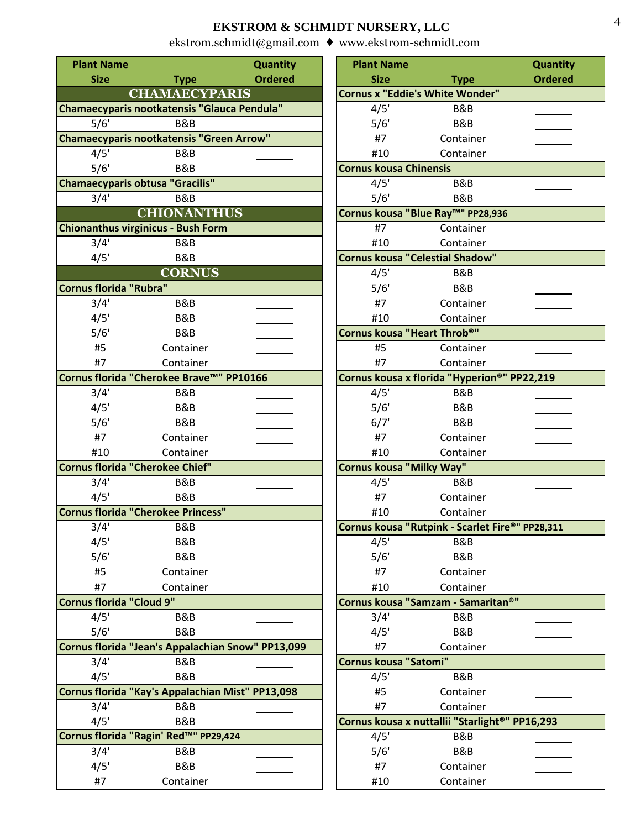| <b>Plant Name</b>        |                                                   | <b>Quantity</b> | <b>Plant Name</b>               |                                                 | Quantity       |
|--------------------------|---------------------------------------------------|-----------------|---------------------------------|-------------------------------------------------|----------------|
| <b>Size</b>              | <b>Type</b>                                       | <b>Ordered</b>  | <b>Size</b>                     | <b>Type</b>                                     | <b>Ordered</b> |
|                          | <b>CHAMAECYPARIS</b>                              |                 |                                 | <b>Cornus x "Eddie's White Wonder"</b>          |                |
|                          | Chamaecyparis nootkatensis "Glauca Pendula"       |                 | 4/5'                            | <b>B&amp;B</b>                                  |                |
| 5/6'                     | B&B                                               |                 | 5/6'                            | B&B                                             |                |
|                          | Chamaecyparis nootkatensis "Green Arrow"          |                 | #7                              | Container                                       |                |
| 4/5'                     | B&B                                               |                 | #10                             | Container                                       |                |
| 5/6'                     | <b>B&amp;B</b>                                    |                 | <b>Cornus kousa Chinensis</b>   |                                                 |                |
|                          | <b>Chamaecyparis obtusa "Gracilis"</b>            |                 | 4/5'                            | B&B                                             |                |
| 3/4'                     | <b>B&amp;B</b>                                    |                 | 5/6'                            | <b>B&amp;B</b>                                  |                |
|                          | <b>CHIONANTHUS</b>                                |                 |                                 | Cornus kousa "Blue Ray™" PP28,936               |                |
|                          | Chionanthus virginicus - Bush Form                |                 | #7                              | Container                                       |                |
| 3/4'                     | <b>B&amp;B</b>                                    |                 | #10                             | Container                                       |                |
| 4/5'                     | <b>B&amp;B</b>                                    |                 |                                 | <b>Cornus kousa "Celestial Shadow"</b>          |                |
|                          | <b>CORNUS</b>                                     |                 | 4/5'                            | B&B                                             |                |
| Cornus florida "Rubra"   |                                                   |                 | 5/6'                            | B&B                                             |                |
| 3/4'                     | B&B                                               |                 | #7                              | Container                                       |                |
| 4/5'                     | B&B                                               |                 | #10                             | Container                                       |                |
| 5/6'                     | <b>B&amp;B</b>                                    |                 | Cornus kousa "Heart Throb®"     |                                                 |                |
| #5                       | Container                                         |                 | #5                              | Container                                       |                |
| #7                       | Container                                         |                 | #7                              | Container                                       |                |
|                          | Cornus florida "Cherokee Brave™" PP10166          |                 |                                 | Cornus kousa x florida "Hyperion®" PP22,219     |                |
| 3/4'                     | B&B                                               |                 | 4/5'                            | B&B                                             |                |
| 4/5'                     | B&B                                               |                 | 5/6'                            | B&B                                             |                |
| 5/6'                     | <b>B&amp;B</b>                                    |                 | 6/7'                            | <b>B&amp;B</b>                                  |                |
| #7                       | Container                                         |                 | #7                              | Container                                       |                |
| #10                      | Container                                         |                 | #10                             | Container                                       |                |
|                          | Cornus florida "Cherokee Chief"                   |                 | <b>Cornus kousa "Milky Way"</b> |                                                 |                |
| 3/4'                     | B&B                                               |                 | 4/5'                            | B&B                                             |                |
| 4/5'                     | <b>B&amp;B</b>                                    |                 | #7                              | Container                                       |                |
|                          | Cornus florida "Cherokee Princess"                |                 | #10                             | Container                                       |                |
| 3/4'                     | B&B                                               |                 |                                 | Cornus kousa "Rutpink - Scarlet Fire®" PP28,311 |                |
| 4/5'                     | <b>B&amp;B</b>                                    |                 | 4/5'                            | B&B                                             |                |
| 5/6'                     | <b>B&amp;B</b>                                    |                 | 5/6'                            | <b>B&amp;B</b>                                  |                |
| #5                       | Container                                         |                 | #7                              | Container                                       |                |
| #7                       | Container                                         |                 | #10                             | Container                                       |                |
| Cornus florida "Cloud 9" |                                                   |                 |                                 | Cornus kousa "Samzam - Samaritan®"              |                |
| 4/5'                     | B&B                                               |                 | 3/4'                            | <b>B&amp;B</b>                                  |                |
| 5/6'                     | B&B                                               |                 | 4/5'                            | B&B                                             |                |
|                          | Cornus florida "Jean's Appalachian Snow" PP13,099 |                 | #7                              | Container                                       |                |
| 3/4'                     | <b>B&amp;B</b>                                    |                 | <b>Cornus kousa "Satomi"</b>    |                                                 |                |
| 4/5'                     | <b>B&amp;B</b>                                    |                 | 4/5'                            | B&B                                             |                |
|                          | Cornus florida "Kay's Appalachian Mist" PP13,098  |                 | #5                              | Container                                       |                |
| 3/4'                     | B&B                                               |                 | #7                              | Container                                       |                |
| 4/5'                     | <b>B&amp;B</b>                                    |                 |                                 | Cornus kousa x nuttallii "Starlight®" PP16,293  |                |
|                          | Cornus florida "Ragin' Red™" PP29,424             |                 | 4/5'                            | B&B                                             |                |
| 3/4'                     | <b>B&amp;B</b>                                    |                 | 5/6'                            | B&B                                             |                |
| 4/5'                     | <b>B&amp;B</b>                                    |                 | #7                              | Container                                       |                |
| #7                       | Container                                         |                 | #10                             | Container                                       |                |

| <b>It Name</b> |                                            | <b>Quantity</b> | <b>Plant Name</b>                               |                | <b>Quantity</b> |
|----------------|--------------------------------------------|-----------------|-------------------------------------------------|----------------|-----------------|
| <b>Size</b>    | <b>Type</b>                                | <b>Ordered</b>  | <b>Size</b>                                     | <b>Type</b>    | <b>Ordered</b>  |
|                | <b>CHAMAECYPARIS</b>                       |                 | <b>Cornus x "Eddie's White Wonder"</b>          |                |                 |
|                | ecyparis nootkatensis "Glauca Pendula"     |                 | 4/5'                                            | B&B            |                 |
| 5/6'           | B&B                                        |                 | 5/6'                                            | <b>B&amp;B</b> |                 |
|                | ecyparis nootkatensis "Green Arrow"        |                 | #7                                              | Container      |                 |
| $\sqrt{4/5}$   | <b>B&amp;B</b>                             |                 | #10                                             | Container      |                 |
| 5/6'           | B&B                                        |                 | <b>Cornus kousa Chinensis</b>                   |                |                 |
|                | ecyparis obtusa "Gracilis"                 |                 | 4/5'                                            | B&B            |                 |
| 3/4'           | B&B                                        |                 | 5/6'                                            | B&B            |                 |
|                | <b>CHIONANTHUS</b>                         |                 | Cornus kousa "Blue Ray™" PP28,936               |                |                 |
|                | nthus virginicus - Bush Form               |                 | #7                                              | Container      |                 |
| 3/4'           | <b>B&amp;B</b>                             |                 | #10                                             | Container      |                 |
| 4/5'           | <b>B&amp;B</b>                             |                 | <b>Cornus kousa "Celestial Shadow"</b>          |                |                 |
|                | <b>CORNUS</b>                              |                 | 4/5'                                            | B&B            |                 |
|                | florida "Rubra"                            |                 | 5/6'                                            | B&B            |                 |
| 3/4'           | B&B                                        |                 | #7                                              | Container      |                 |
| 4/5'           | <b>B&amp;B</b>                             |                 | #10                                             | Container      |                 |
| 5/6'           | B&B                                        |                 | Cornus kousa "Heart Throb®"                     |                |                 |
| #5             | Container                                  |                 | #5                                              | Container      |                 |
| #7             | Container                                  |                 | #7                                              | Container      |                 |
|                | <b>florida "Cherokee Brave™" PP10166</b>   |                 | Cornus kousa x florida "Hyperion®" PP22,219     |                |                 |
| $\frac{3}{4}$  | B&B                                        |                 | 4/5'                                            | B&B            |                 |
| 4/5'           | <b>B&amp;B</b>                             |                 | 5/6'                                            | B&B            |                 |
| 5/6'           | <b>B&amp;B</b>                             |                 | 6/7'                                            | B&B            |                 |
| #7             | Container                                  |                 | #7                                              | Container      |                 |
| #10            | Container                                  |                 | #10                                             | Container      |                 |
|                | florida "Cherokee Chief"                   |                 | <b>Cornus kousa "Milky Way"</b>                 |                |                 |
| 3/4'           | <b>B&amp;B</b>                             |                 | 4/5'                                            | <b>B&amp;B</b> |                 |
| 4/5'           | <b>B&amp;B</b>                             |                 | #7                                              | Container      |                 |
|                | florida "Cherokee Princess"                |                 | #10                                             | Container      |                 |
| 3/4'           | B&B                                        |                 | Cornus kousa "Rutpink - Scarlet Fire®" PP28,311 |                |                 |
| 4/5'           | <b>B&amp;B</b>                             |                 | 4/5'                                            | B&B            |                 |
| 5/6'           | B&B                                        |                 | 5/6'                                            | B&B            |                 |
| #5             | Container                                  |                 | #7                                              | Container      |                 |
| #7             | Container                                  |                 | #10                                             | Container      |                 |
|                | florida "Cloud 9"                          |                 | Cornus kousa "Samzam - Samaritan®"              |                |                 |
| 4/5'           | B&B                                        |                 | 3/4'                                            | B&B            |                 |
| 5/6'           | <b>B&amp;B</b>                             |                 | 4/5'                                            | B&B            |                 |
|                | florida "Jean's Appalachian Snow" PP13,099 |                 | #7                                              | Container      |                 |
| 3/4'           | <b>B&amp;B</b>                             |                 | <b>Cornus kousa "Satomi"</b>                    |                |                 |
| 4/5'           | <b>B&amp;B</b>                             |                 | 4/5'                                            | B&B            |                 |
|                | florida "Kay's Appalachian Mist" PP13,098  |                 | #5                                              | Container      |                 |
| 3/4'           | <b>B&amp;B</b>                             |                 | #7                                              | Container      |                 |
| 4/5'           | <b>B&amp;B</b>                             |                 | Cornus kousa x nuttallii "Starlight®" PP16,293  |                |                 |
|                | florida "Ragin' Red™" PP29,424             |                 | 4/5'                                            | B&B            |                 |
| 3/4'           | B&B                                        |                 | 5/6'                                            | B&B            |                 |
| 4/5'           | <b>B&amp;B</b>                             |                 | #7                                              | Container      |                 |
| #7             | Container                                  |                 | #10                                             | Container      |                 |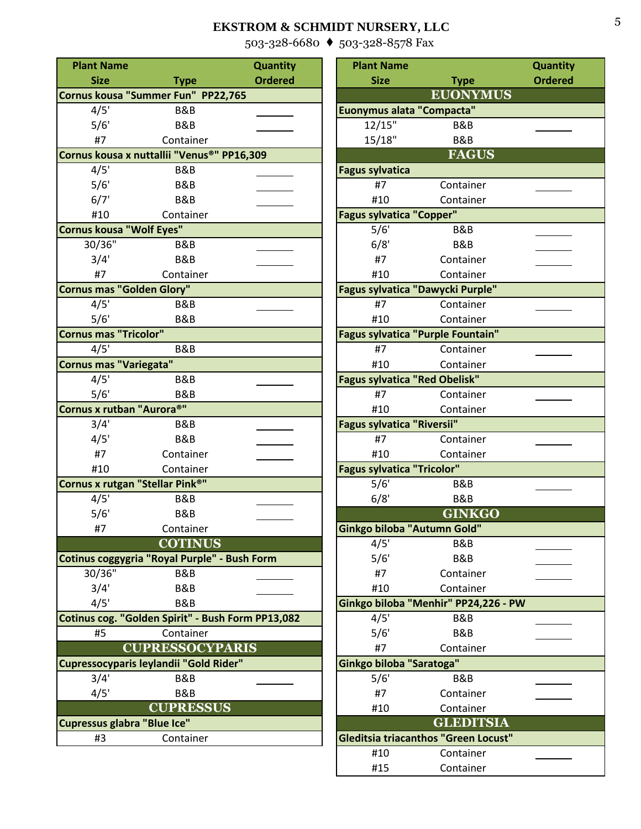[503-328-6680](mailto:ekstrom.schmidt@gmail.com) ♦ [503-328-8578 Fax](http://www.ekstrom-schmidt.com/)

| <b>Plant Name</b>                                 |                        | Quantity       | <b>Plant Name</b>                        |                                      | Quantity       |
|---------------------------------------------------|------------------------|----------------|------------------------------------------|--------------------------------------|----------------|
| <b>Size</b>                                       | <b>Type</b>            | <b>Ordered</b> | <b>Size</b>                              | <b>Type</b>                          | <b>Ordered</b> |
| Cornus kousa "Summer Fun" PP22,765                |                        |                |                                          | <b>EUONYMUS</b>                      |                |
| 4/5'                                              | B&B                    |                | Euonymus alata "Compacta"                |                                      |                |
| 5/6'                                              | <b>B&amp;B</b>         |                | 12/15"                                   | B&B                                  |                |
| #7                                                | Container              |                | 15/18"                                   | B&B                                  |                |
| Cornus kousa x nuttallii "Venus®" PP16,309        |                        |                |                                          | <b>FAGUS</b>                         |                |
| 4/5'                                              | B&B                    |                | <b>Fagus sylvatica</b>                   |                                      |                |
| 5/6'                                              | <b>B&amp;B</b>         |                | #7                                       | Container                            |                |
| 6/7'                                              | B&B                    |                | #10                                      | Container                            |                |
| #10                                               | Container              |                | <b>Fagus sylvatica "Copper"</b>          |                                      |                |
| <b>Cornus kousa "Wolf Eyes"</b>                   |                        |                | 5/6'                                     | B&B                                  |                |
| 30/36"                                            | B&B                    |                | 6/8'                                     | <b>B&amp;B</b>                       |                |
| 3/4'                                              | <b>B&amp;B</b>         |                | #7                                       | Container                            |                |
| #7                                                | Container              |                | #10                                      | Container                            |                |
| Cornus mas "Golden Glory"                         |                        |                | Fagus sylvatica "Dawycki Purple"         |                                      |                |
| 4/5'                                              | B&B                    |                | #7                                       | Container                            |                |
| 5/6'                                              | B&B                    |                | #10                                      | Container                            |                |
| <b>Cornus mas "Tricolor"</b>                      |                        |                | <b>Fagus sylvatica "Purple Fountain"</b> |                                      |                |
| 4/5'                                              | B&B                    |                | #7                                       | Container                            |                |
| Cornus mas "Variegata"                            |                        |                | #10                                      | Container                            |                |
| 4/5'                                              | <b>B&amp;B</b>         |                | <b>Fagus sylvatica "Red Obelisk"</b>     |                                      |                |
| 5/6'<br>Cornus x rutban "Aurora®"                 | <b>B&amp;B</b>         |                | #7<br>#10                                | Container<br>Container               |                |
| 3/4'                                              | B&B                    |                | Fagus sylvatica "Riversii"               |                                      |                |
| 4/5'                                              | <b>B&amp;B</b>         |                | #7                                       | Container                            |                |
| #7                                                | Container              |                | #10                                      | Container                            |                |
| #10                                               | Container              |                | <b>Fagus sylvatica "Tricolor"</b>        |                                      |                |
| Cornus x rutgan "Stellar Pink <sup>®"</sup>       |                        |                | 5/6'                                     | B&B                                  |                |
| 4/5'                                              | <b>B&amp;B</b>         |                | 6/8'                                     | B&B                                  |                |
| 5/6'                                              | <b>B&amp;B</b>         |                |                                          | <b>GINKGO</b>                        |                |
| #7                                                | Container              |                | Ginkgo biloba "Autumn Gold"              |                                      |                |
|                                                   | <b>COTINUS</b>         |                | 4/5'                                     | B&B                                  |                |
| Cotinus coggygria "Royal Purple" - Bush Form      |                        |                | 5/6'                                     | B&B                                  |                |
| 30/36"                                            | B&B                    |                | #7                                       | Container                            |                |
| 3/4'                                              | <b>B&amp;B</b>         |                | #10                                      | Container                            |                |
| 4/5'                                              | B&B                    |                |                                          | Ginkgo biloba "Menhir" PP24,226 - PW |                |
| Cotinus cog. "Golden Spirit" - Bush Form PP13,082 |                        |                | 4/5'                                     | B&B                                  |                |
| #5                                                | Container              |                | 5/6'                                     | B&B                                  |                |
|                                                   | <b>CUPRESSOCYPARIS</b> |                | #7                                       | Container                            |                |
| Cupressocyparis leylandii "Gold Rider"            |                        |                | Ginkgo biloba "Saratoga"                 |                                      |                |
| 3/4'                                              | <b>B&amp;B</b>         |                | 5/6'                                     | B&B                                  |                |
| 4/5'                                              | <b>B&amp;B</b>         |                | #7                                       | Container                            |                |
|                                                   | <b>CUPRESSUS</b>       |                | #10                                      | Container                            |                |
| Cupressus glabra "Blue Ice"                       |                        |                |                                          | <b>GLEDITSIA</b>                     |                |
| #3                                                | Container              |                |                                          | Gleditsia triacanthos "Green Locust" |                |
|                                                   |                        |                |                                          |                                      |                |

| <b>it Name</b>  |                                             | <b>Quantity</b> | <b>Plant Name</b>                           |                  | <b>Quantity</b> |
|-----------------|---------------------------------------------|-----------------|---------------------------------------------|------------------|-----------------|
| <b>Size</b>     | <b>Type</b>                                 | <b>Ordered</b>  | <b>Size</b>                                 | <b>Type</b>      | <b>Ordered</b>  |
|                 | kousa "Summer Fun" PP22,765                 |                 |                                             | <b>EUONYMUS</b>  |                 |
| 4/5'            | B&B                                         |                 | Euonymus alata "Compacta"                   |                  |                 |
| 5/6'            | B&B                                         |                 | 12/15"                                      | <b>B&amp;B</b>   |                 |
| #7              | Container                                   |                 | 15/18"                                      | <b>B&amp;B</b>   |                 |
|                 | kousa x nuttallii "Venus®" PP16,309         |                 |                                             | <b>FAGUS</b>     |                 |
| 4/5'            | <b>B&amp;B</b>                              |                 | <b>Fagus sylvatica</b>                      |                  |                 |
| 5/6'            | B&B                                         |                 | #7                                          | Container        |                 |
| 6/7'            | <b>B&amp;B</b>                              |                 | #10                                         | Container        |                 |
| #10             | Container                                   |                 | <b>Fagus sylvatica "Copper"</b>             |                  |                 |
|                 | kousa "Wolf Eyes"                           |                 | 5/6'                                        | B&B              |                 |
| $0/36$ "        | B&B                                         |                 | 6/8'                                        | <b>B&amp;B</b>   |                 |
| 3/4'            | <b>B&amp;B</b>                              |                 | #7                                          | Container        |                 |
| #7              | Container                                   |                 | #10                                         | Container        |                 |
|                 | mas "Golden Glory"                          |                 | <b>Fagus sylvatica "Dawycki Purple"</b>     |                  |                 |
| 4/5'            | B&B                                         |                 | #7                                          | Container        |                 |
| 5/6'            | <b>B&amp;B</b>                              |                 | #10                                         | Container        |                 |
| mas "Tricolor"  |                                             |                 | <b>Fagus sylvatica "Purple Fountain"</b>    |                  |                 |
| 4/5'            | B&B                                         |                 | #7                                          | Container        |                 |
| mas "Variegata" |                                             |                 | #10                                         | Container        |                 |
| 4/5'            | B&B                                         |                 | <b>Fagus sylvatica "Red Obelisk"</b>        |                  |                 |
| 5/6'            | <b>B&amp;B</b>                              |                 | #7                                          | Container        |                 |
|                 | x rutban "Aurora®"                          |                 | #10                                         | Container        |                 |
| 3/4'            | B&B                                         |                 | <b>Fagus sylvatica "Riversii"</b>           |                  |                 |
| 4/5'            | B&B                                         |                 | #7                                          | Container        |                 |
| #7              | Container                                   |                 | #10                                         | Container        |                 |
| #10             | Container                                   |                 | <b>Fagus sylvatica "Tricolor"</b>           |                  |                 |
|                 | x rutgan "Stellar Pink <sup>®"</sup>        |                 | 5/6'                                        | B&B              |                 |
| 4/5'            | B&B                                         |                 | 6/8'                                        | <b>B&amp;B</b>   |                 |
| 5/6'            | <b>B&amp;B</b>                              |                 |                                             | <b>GINKGO</b>    |                 |
| #7              | Container                                   |                 | Ginkgo biloba "Autumn Gold"                 |                  |                 |
|                 | <b>COTINUS</b>                              |                 | 4/5'                                        | B&B              |                 |
|                 | s coggygria "Royal Purple" - Bush Form      |                 | 5/6'                                        | <b>B&amp;B</b>   |                 |
| 0/36"           | B&B                                         |                 | #7                                          | Container        |                 |
| 3/4'            | B&B                                         |                 | #10                                         | Container        |                 |
| 4/5'            | B&B                                         |                 | Ginkgo biloba "Menhir" PP24,226 - PW        |                  |                 |
|                 | s cog. "Golden Spirit" - Bush Form PP13,082 |                 | 4/5'                                        | B&B              |                 |
| #5              | Container                                   |                 | 5/6'                                        | <b>B&amp;B</b>   |                 |
|                 | <b>CUPRESSOCYPARIS</b>                      |                 | #7                                          | Container        |                 |
|                 | socyparis leylandii "Gold Rider"            |                 | Ginkgo biloba "Saratoga"                    |                  |                 |
| 3/4'            | <b>B&amp;B</b>                              |                 | 5/6'                                        | B&B              |                 |
| 4/5'            | B&B                                         |                 | #7                                          | Container        |                 |
|                 | <b>CUPRESSUS</b>                            |                 | #10                                         | Container        |                 |
|                 | sus glabra "Blue Ice"                       |                 |                                             | <b>GLEDITSIA</b> |                 |
| #3              | Container                                   |                 | <b>Gleditsia triacanthos "Green Locust"</b> |                  |                 |
|                 |                                             |                 | #10                                         | Container        |                 |
|                 |                                             |                 | #15                                         | Container        |                 |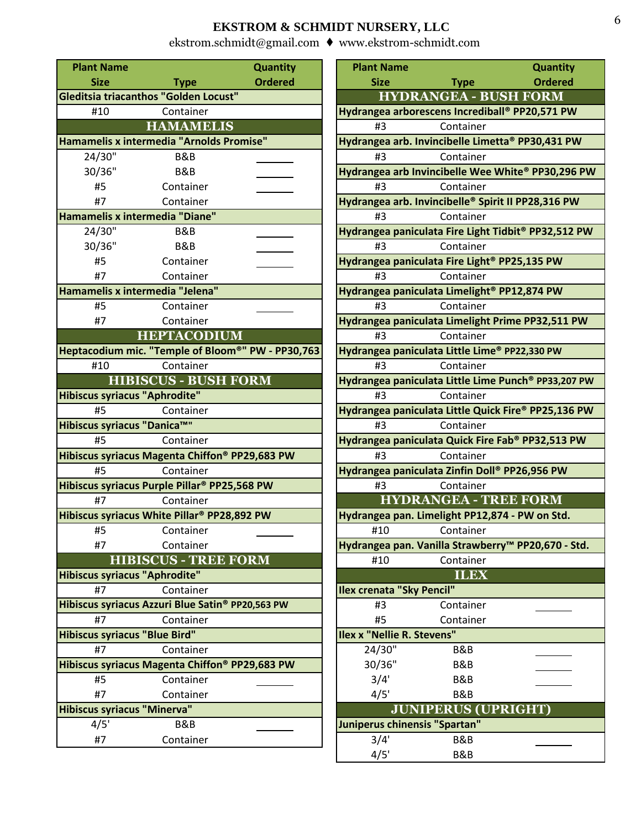| <b>Plant Name</b>               |                                                          | <b>Quantity</b> | <b>Plant Name</b>                                        |                              | Quantity       |
|---------------------------------|----------------------------------------------------------|-----------------|----------------------------------------------------------|------------------------------|----------------|
| <b>Size</b>                     | <b>Type</b>                                              | <b>Ordered</b>  | <b>Size</b>                                              | <b>Type</b>                  | <b>Ordered</b> |
|                                 | Gleditsia triacanthos "Golden Locust"                    |                 |                                                          | <b>HYDRANGEA - BUSH FORM</b> |                |
| #10                             | Container                                                |                 | Hydrangea arborescens Incrediball® PP20,571 PW           |                              |                |
|                                 | <b>HAMAMELIS</b>                                         |                 | #3                                                       | Container                    |                |
|                                 | Hamamelis x intermedia "Arnolds Promise"                 |                 | Hydrangea arb. Invincibelle Limetta® PP30,431 PW         |                              |                |
| 24/30"                          | B&B                                                      |                 | #3                                                       | Container                    |                |
| 30/36"                          | B&B                                                      |                 | Hydrangea arb Invincibelle Wee White® PP30,296 I         |                              |                |
| #5                              | Container                                                |                 | #3                                                       | Container                    |                |
| #7                              | Container                                                |                 | Hydrangea arb. Invincibelle® Spirit II PP28,316 PW       |                              |                |
| Hamamelis x intermedia "Diane"  |                                                          |                 | #3                                                       | Container                    |                |
| 24/30"                          | <b>B&amp;B</b>                                           |                 | Hydrangea paniculata Fire Light Tidbit® PP32,512 P       |                              |                |
| 30/36"                          | B&B                                                      |                 | #3                                                       | Container                    |                |
| #5                              | Container                                                |                 | Hydrangea paniculata Fire Light <sup>®</sup> PP25,135 PW |                              |                |
| #7                              | Container                                                |                 | #3                                                       | Container                    |                |
| Hamamelis x intermedia "Jelena" |                                                          |                 | Hydrangea paniculata Limelight <sup>®</sup> PP12,874 PW  |                              |                |
| #5                              | Container                                                |                 | #3                                                       | Container                    |                |
| #7                              | Container                                                |                 | Hydrangea paniculata Limelight Prime PP32,511 PV         |                              |                |
|                                 | <b>HEPTACODIUM</b>                                       |                 | #3                                                       | Container                    |                |
|                                 | Heptacodium mic. "Temple of Bloom®" PW - PP30,763        |                 | Hydrangea paniculata Little Lime® PP22,330 PW            |                              |                |
| #10                             | Container                                                |                 | #3                                                       | Container                    |                |
|                                 | <b>HIBISCUS - BUSH FORM</b>                              |                 | Hydrangea paniculata Little Lime Punch® PP33,207 I       |                              |                |
| Hibiscus syriacus "Aphrodite"   |                                                          |                 | #3                                                       | Container                    |                |
| #5                              | Container                                                |                 | Hydrangea paniculata Little Quick Fire® PP25,136 P       |                              |                |
| Hibiscus syriacus "Danica™"     |                                                          |                 | #3                                                       | Container                    |                |
| #5                              | Container                                                |                 | Hydrangea paniculata Quick Fire Fab® PP32,513 PV         |                              |                |
|                                 | Hibiscus syriacus Magenta Chiffon® PP29,683 PW           |                 | #3                                                       | Container                    |                |
| #5                              | Container                                                |                 | Hydrangea paniculata Zinfin Doll® PP26,956 PW            |                              |                |
|                                 | Hibiscus syriacus Purple Pillar <sup>®</sup> PP25,568 PW |                 | #3                                                       | Container                    |                |
| #7                              | Container                                                |                 |                                                          | <b>HYDRANGEA - TREE FORM</b> |                |
|                                 | Hibiscus syriacus White Pillar® PP28,892 PW              |                 | Hydrangea pan. Limelight PP12,874 - PW on Std.           |                              |                |
| #5                              | Container                                                |                 | #10                                                      | Container                    |                |
| #7                              | Container                                                |                 | Hydrangea pan. Vanilla Strawberry™ PP20,670 - Ste        |                              |                |
|                                 | <b>HIBISCUS - TREE FORM</b>                              |                 | #10                                                      | Container                    |                |
| Hibiscus syriacus "Aphrodite"   |                                                          |                 |                                                          | <b>ILEX</b>                  |                |
| #7                              | Container                                                |                 | <b>Ilex crenata "Sky Pencil"</b>                         |                              |                |
|                                 | Hibiscus syriacus Azzuri Blue Satin® PP20,563 PW         |                 | #3                                                       | Container                    |                |
| #7                              | Container                                                |                 | #5                                                       | Container                    |                |
| Hibiscus syriacus "Blue Bird"   |                                                          |                 | Ilex x "Nellie R. Stevens"                               |                              |                |
| #7                              | Container                                                |                 | 24/30"                                                   | B&B                          |                |
|                                 | Hibiscus syriacus Magenta Chiffon® PP29,683 PW           |                 | 30/36"                                                   | B&B                          |                |
| #5                              | Container                                                |                 | 3/4'                                                     | B&B                          |                |
| #7                              | Container                                                |                 | 4/5'                                                     | B&B                          |                |
| Hibiscus syriacus "Minerva"     |                                                          |                 |                                                          | <b>JUNIPERUS (UPRIGHT)</b>   |                |
| 4/5'                            | B&B                                                      |                 | Juniperus chinensis "Spartan"                            |                              |                |
| #7                              | Container                                                |                 | 3/4'                                                     | B&B                          |                |

| ant Name                 |                                                     | Quantity       | <b>Plant Name</b>                                       |                              | Quantity                                            |
|--------------------------|-----------------------------------------------------|----------------|---------------------------------------------------------|------------------------------|-----------------------------------------------------|
| <b>Size</b>              | <b>Type</b>                                         | <b>Ordered</b> | <b>Size</b>                                             | <b>Type</b>                  | <b>Ordered</b>                                      |
|                          | tsia triacanthos "Golden Locust"                    |                |                                                         | <b>HYDRANGEA - BUSH FORM</b> |                                                     |
| #10                      | Container                                           |                | Hydrangea arborescens Incrediball® PP20,571 PW          |                              |                                                     |
|                          | <b>HAMAMELIS</b>                                    |                | #3                                                      | Container                    |                                                     |
|                          | amelis x intermedia "Arnolds Promise"               |                | Hydrangea arb. Invincibelle Limetta® PP30,431 PW        |                              |                                                     |
| 24/30"                   | <b>B&amp;B</b>                                      |                | #3                                                      | Container                    |                                                     |
| 30/36"                   | B&B                                                 |                |                                                         |                              | Hydrangea arb Invincibelle Wee White® PP30,296 PW   |
| #5                       | Container                                           |                | #3                                                      | Container                    |                                                     |
| #7                       | Container                                           |                | Hydrangea arb. Invincibelle® Spirit II PP28,316 PW      |                              |                                                     |
|                          | amelis x intermedia "Diane"                         |                | #3                                                      | Container                    |                                                     |
| 24/30"                   | B&B                                                 |                |                                                         |                              | Hydrangea paniculata Fire Light Tidbit® PP32,512 PW |
| 30/36"                   | B&B                                                 |                | #3                                                      | Container                    |                                                     |
| #5                       | Container                                           |                | Hydrangea paniculata Fire Light® PP25,135 PW            |                              |                                                     |
| #7                       | Container                                           |                | #3                                                      | Container                    |                                                     |
|                          | amelis x intermedia "Jelena"                        |                | Hydrangea paniculata Limelight <sup>®</sup> PP12,874 PW |                              |                                                     |
| #5                       | Container                                           |                | #3                                                      | Container                    |                                                     |
| #7                       | Container                                           |                |                                                         |                              | Hydrangea paniculata Limelight Prime PP32,511 PW    |
|                          | <b>HEPTACODIUM</b>                                  |                | #3                                                      | Container                    |                                                     |
|                          | acodium mic. "Temple of Bloom®" PW - PP30,763       |                | Hydrangea paniculata Little Lime® PP22,330 PW           |                              |                                                     |
| #10                      | Container                                           |                | #3                                                      | Container                    |                                                     |
|                          | <b>HIBISCUS - BUSH FORM</b>                         |                |                                                         |                              | Hydrangea paniculata Little Lime Punch® PP33,207 PW |
| cus syriacus "Aphrodite" |                                                     |                | #3                                                      | Container                    |                                                     |
| #5                       | Container                                           |                |                                                         |                              | Hydrangea paniculata Little Quick Fire® PP25,136 PW |
| cus syriacus "Danica™"   |                                                     |                | #3                                                      | Container                    |                                                     |
| #5                       | Container                                           |                |                                                         |                              | Hydrangea paniculata Quick Fire Fab® PP32,513 PW    |
|                          | cus syriacus Magenta Chiffon® PP29,683 PW           |                | #3                                                      | Container                    |                                                     |
| #5                       | Container                                           |                | Hydrangea paniculata Zinfin Doll® PP26,956 PW           |                              |                                                     |
|                          | cus syriacus Purple Pillar <sup>®</sup> PP25,568 PW |                | #3                                                      | Container                    |                                                     |
| #7                       | Container                                           |                |                                                         | <b>HYDRANGEA - TREE FORM</b> |                                                     |
|                          | cus syriacus White Pillar <sup>®</sup> PP28,892 PW  |                | Hydrangea pan. Limelight PP12,874 - PW on Std.          |                              |                                                     |
| #5                       | Container                                           |                |                                                         | #10 Container                |                                                     |
| #7                       | Container                                           |                |                                                         |                              | Hydrangea pan. Vanilla Strawberry™ PP20,670 - Std.  |
|                          | <b>HIBISCUS - TREE FORM</b>                         |                | #10                                                     | Container                    |                                                     |
| cus syriacus "Aphrodite" |                                                     |                |                                                         | <b>ILEX</b>                  |                                                     |
| #7                       | Container                                           |                | <b>Ilex crenata "Sky Pencil"</b>                        |                              |                                                     |
|                          | cus syriacus Azzuri Blue Satin® PP20,563 PW         |                | #3                                                      | Container                    |                                                     |
| #7                       | Container                                           |                | #5                                                      | Container                    |                                                     |
| cus syriacus "Blue Bird" |                                                     |                | Ilex x "Nellie R. Stevens"                              |                              |                                                     |
| #7                       | Container                                           |                | 24/30"                                                  | B&B                          |                                                     |
|                          | cus syriacus Magenta Chiffon® PP29,683 PW           |                | 30/36"                                                  | <b>B&amp;B</b>               |                                                     |
| #5                       | Container                                           |                | 3/4'                                                    | <b>B&amp;B</b>               |                                                     |
| #7                       | Container                                           |                | 4/5'                                                    | B&B                          |                                                     |
| cus syriacus "Minerva"   |                                                     |                |                                                         | <b>JUNIPERUS (UPRIGHT)</b>   |                                                     |
| 4/5'                     | B&B                                                 |                | Juniperus chinensis "Spartan"                           |                              |                                                     |
| #7                       | Container                                           |                | 3/4'                                                    | B&B                          |                                                     |
|                          |                                                     |                | 4/5'                                                    | <b>B&amp;B</b>               |                                                     |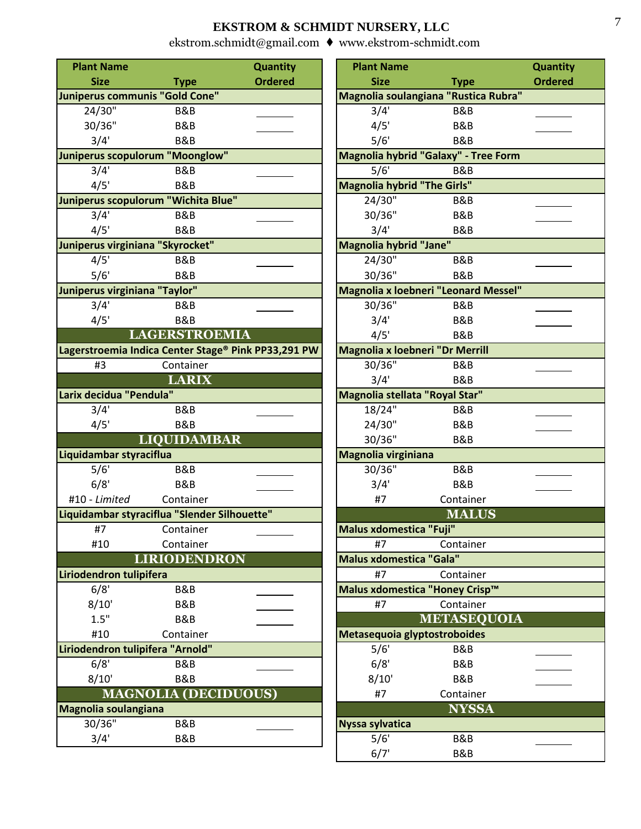| <b>Plant Name</b>                                   |                             | Quantity       | <b>Plant Name</b>                      |                                             | Quantity       |
|-----------------------------------------------------|-----------------------------|----------------|----------------------------------------|---------------------------------------------|----------------|
| <b>Size</b>                                         | <b>Type</b>                 | <b>Ordered</b> | <b>Size</b>                            | <b>Type</b>                                 | <b>Ordered</b> |
| Juniperus communis "Gold Cone"                      |                             |                |                                        | Magnolia soulangiana "Rustica Rubra"        |                |
| $24/30$ "                                           | B&B                         |                | 3/4'                                   | B&B                                         |                |
| 30/36"                                              | <b>B&amp;B</b>              |                | 4/5'                                   | B&B                                         |                |
| 3/4'                                                | <b>B&amp;B</b>              |                | 5/6'                                   | B&B                                         |                |
| Juniperus scopulorum "Moonglow"                     |                             |                |                                        | Magnolia hybrid "Galaxy" - Tree Form        |                |
| 3/4'                                                | <b>B&amp;B</b>              |                | 5/6'                                   | B&B                                         |                |
| 4/5'                                                | <b>B&amp;B</b>              |                | <b>Magnolia hybrid "The Girls"</b>     |                                             |                |
| Juniperus scopulorum "Wichita Blue"                 |                             |                | 24/30"                                 | B&B                                         |                |
| 3/4'                                                | <b>B&amp;B</b>              |                | 30/36"                                 | B&B                                         |                |
| 4/5'                                                | <b>B&amp;B</b>              |                | 3/4'                                   | B&B                                         |                |
| Juniperus virginiana "Skyrocket"                    |                             |                | Magnolia hybrid "Jane"                 |                                             |                |
| 4/5'                                                | <b>B&amp;B</b>              |                | 24/30"                                 | B&B                                         |                |
| 5/6'                                                | <b>B&amp;B</b>              |                | 30/36"                                 | <b>B&amp;B</b>                              |                |
| Juniperus virginiana "Taylor"                       |                             |                |                                        | <b>Magnolia x loebneri "Leonard Messel"</b> |                |
| 3/4'                                                | <b>B&amp;B</b>              |                | 30/36"                                 | <b>B&amp;B</b>                              |                |
| 4/5'                                                | <b>B&amp;B</b>              |                | 3/4'                                   | B&B                                         |                |
|                                                     | <b>LAGERSTROEMIA</b>        |                | 4/5'                                   | B&B                                         |                |
| Lagerstroemia Indica Center Stage® Pink PP33,291 PW |                             |                | <b>Magnolia x loebneri "Dr Merrill</b> |                                             |                |
| #3                                                  | Container                   |                | 30/36"                                 | B&B                                         |                |
|                                                     | <b>LARIX</b>                |                | 3/4'                                   | B&B                                         |                |
| Larix decidua "Pendula"                             |                             |                | Magnolia stellata "Royal Star"         |                                             |                |
| 3/4'                                                | <b>B&amp;B</b>              |                | 18/24"                                 | B&B                                         |                |
| 4/5'                                                | <b>B&amp;B</b>              |                | 24/30"                                 | B&B                                         |                |
|                                                     | <b>LIQUIDAMBAR</b>          |                | 30/36"                                 | B&B                                         |                |
| Liquidambar styraciflua                             |                             |                | Magnolia virginiana                    |                                             |                |
| 5/6'                                                | B&B                         |                | 30/36"                                 | B&B                                         |                |
| 6/8'                                                | <b>B&amp;B</b>              |                | 3/4'                                   | <b>B&amp;B</b>                              |                |
| #10 - Limited                                       | Container                   |                | #7                                     | Container                                   |                |
| Liquidambar styraciflua "Slender Silhouette"        |                             |                |                                        | <b>MALUS</b>                                |                |
| #7                                                  | Container                   |                | <b>Malus xdomestica "Fuji"</b>         |                                             |                |
| #10                                                 | Container                   |                | #7                                     | Container                                   |                |
|                                                     | <b>LIRIODENDRON</b>         |                | <b>Malus xdomestica "Gala"</b>         |                                             |                |
| Liriodendron tulipifera                             |                             |                | #7                                     | Container                                   |                |
| 6/8'                                                | B&B                         |                | Malus xdomestica "Honey Crisp™         |                                             |                |
| 8/10'                                               | <b>B&amp;B</b>              |                | #7                                     | Container                                   |                |
| 1.5"                                                | <b>B&amp;B</b>              |                |                                        | <b>METASEQUOIA</b>                          |                |
| #10                                                 | Container                   |                | Metasequoia glyptostroboides           |                                             |                |
| Liriodendron tulipifera "Arnold"                    |                             |                | 5/6'                                   | B&B                                         |                |
| 6/8'                                                | B&B                         |                | 6/8'                                   | <b>B&amp;B</b>                              |                |
| 8/10'                                               | <b>B&amp;B</b>              |                | 8/10'                                  | <b>B&amp;B</b>                              |                |
|                                                     | <b>MAGNOLIA (DECIDUOUS)</b> |                | #7                                     | Container                                   |                |
| Magnolia soulangiana                                |                             |                |                                        | <b>NYSSA</b>                                |                |
| 30/36"                                              | <b>B&amp;B</b>              |                | <b>Nyssa sylvatica</b>                 |                                             |                |
| 3/4'                                                | B&B                         |                | 5/6'                                   | B&B                                         |                |

| <b>Plant Name</b>                  |                                                    | <b>Quantity</b> |
|------------------------------------|----------------------------------------------------|-----------------|
| <b>Size</b>                        | <b>Type</b>                                        | <b>Ordered</b>  |
|                                    | Magnolia soulangiana "Rustica Rubra"               |                 |
| 3/4'                               | B&B                                                |                 |
| 4/5'                               | B&B                                                |                 |
| 5/6'                               | <b>B&amp;B</b>                                     |                 |
|                                    | Magnolia hybrid "Galaxy" - Tree Form               |                 |
| 5/6'                               | B&B                                                |                 |
| <b>Magnolia hybrid "The Girls"</b> |                                                    |                 |
| 24/30"                             | B&B                                                |                 |
| 30/36"                             | B&B                                                |                 |
| 3/4'                               | B&B                                                |                 |
| <b>Magnolia hybrid "Jane"</b>      |                                                    |                 |
| $24/30$ "                          | B&B                                                |                 |
| 30/36"                             | B&B                                                |                 |
| 30/36"                             | <b>Magnolia x loebneri "Leonard Messel"</b><br>B&B |                 |
| 3/4'                               | B&B                                                |                 |
| 4/5'                               | B&B                                                |                 |
| Magnolia x loebneri "Dr Merrill    |                                                    |                 |
| 30/36"                             | B&B                                                |                 |
| 3/4'                               | B&B                                                |                 |
| Magnolia stellata "Royal Star"     |                                                    |                 |
| 18/24"                             | B&B                                                |                 |
| 24/30"                             | <b>B&amp;B</b>                                     |                 |
| 30/36"                             | B&B                                                |                 |
| Magnolia virginiana                |                                                    |                 |
| 30/36"                             | B&B                                                |                 |
| 3/4'                               | B&B                                                |                 |
| #7                                 | Container                                          |                 |
|                                    | <b>MALUS</b>                                       |                 |
| Malus xdomestica "Fuji"            |                                                    |                 |
| #7                                 | Container                                          |                 |
| <b>Malus xdomestica "Gala"</b>     |                                                    |                 |
| #7                                 | Container                                          |                 |
| Malus xdomestica "Honey Crisp™     |                                                    |                 |
| #7                                 | Container                                          |                 |
|                                    | <b>METASEQUOIA</b>                                 |                 |
| Metasequoia glyptostroboides       |                                                    |                 |
| 5/6'                               | B&B                                                |                 |
| 6/8'                               | B&B                                                |                 |
| 8/10'                              | B&B                                                |                 |
| #7                                 | Container                                          |                 |
|                                    | <b>NYSSA</b>                                       |                 |
| Nyssa sylvatica                    |                                                    |                 |
| 5/6'                               | B&B                                                |                 |
| 6/7'                               | B&B                                                |                 |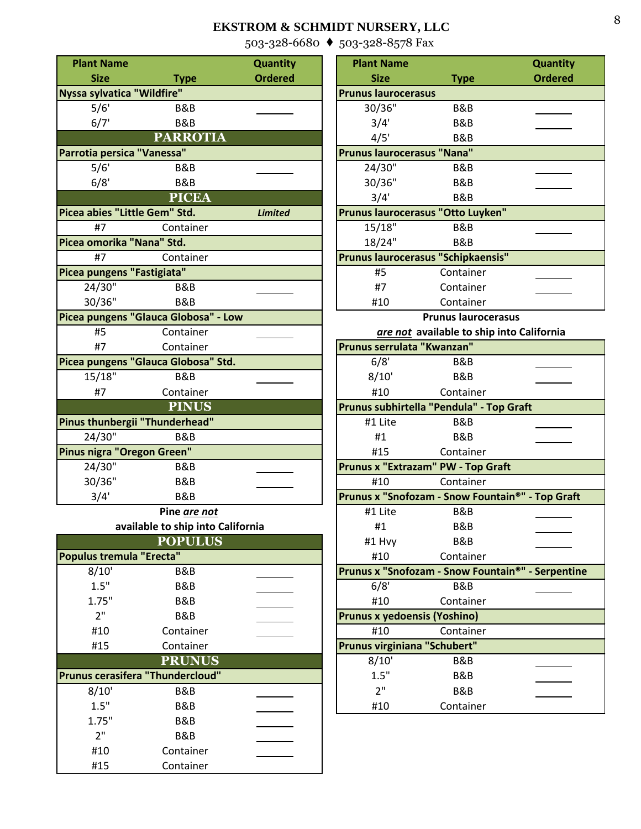[503-328-6680](mailto:ekstrom.schmidt@gmail.com) ♦ [503-328-8578 Fax](http://www.ekstrom-schmidt.com/)

| <b>Plant Name</b>                |                                      | <b>Quantity</b> | <b>Plant Name</b>            |                                                 | <b>Quantity</b> |
|----------------------------------|--------------------------------------|-----------------|------------------------------|-------------------------------------------------|-----------------|
| <b>Size</b>                      | <b>Type</b>                          | <b>Ordered</b>  | <b>Size</b>                  | <b>Type</b>                                     | <b>Ordered</b>  |
| Nyssa sylvatica "Wildfire"       |                                      |                 | <b>Prunus laurocerasus</b>   |                                                 |                 |
| 5/6'                             | B&B                                  |                 | 30/36"                       | B&B                                             |                 |
| 6/7'                             | B&B                                  |                 | 3/4'                         | B&B                                             |                 |
|                                  | <b>PARROTIA</b>                      |                 | 4/5'                         | B&B                                             |                 |
| Parrotia persica "Vanessa"       |                                      |                 | Prunus laurocerasus "Nana"   |                                                 |                 |
| 5/6'                             | B&B                                  |                 | 24/30"                       | B&B                                             |                 |
| 6/8'                             | B&B                                  |                 | 30/36"                       | B&B                                             |                 |
|                                  | <b>PICEA</b>                         |                 | 3/4'                         | B&B                                             |                 |
| Picea abies "Little Gem" Std.    |                                      | <b>Limited</b>  |                              | Prunus laurocerasus "Otto Luyken"               |                 |
| #7                               | Container                            |                 | 15/18"                       | B&B                                             |                 |
| Picea omorika "Nana" Std.        |                                      |                 | 18/24"                       | B&B                                             |                 |
| #7                               | Container                            |                 |                              | Prunus laurocerasus "Schipkaensis"              |                 |
| Picea pungens "Fastigiata"       |                                      |                 | #5                           | Container                                       |                 |
| 24/30"                           | B&B                                  |                 | #7                           | Container                                       |                 |
| 30/36"                           | <b>B&amp;B</b>                       |                 | #10                          | Container                                       |                 |
|                                  | Picea pungens "Glauca Globosa" - Low |                 |                              | <b>Prunus laurocerasus</b>                      |                 |
| #5                               | Container                            |                 |                              | are not available to ship into California       |                 |
| #7                               | Container                            |                 | Prunus serrulata "Kwanzan"   |                                                 |                 |
|                                  | Picea pungens "Glauca Globosa" Std.  |                 | 6/8'                         | B&B                                             |                 |
| $15/18$ "                        | B&B                                  |                 | 8/10'                        | B&B                                             |                 |
| #7                               | Container                            |                 | #10                          | Container                                       |                 |
|                                  | <b>PINUS</b>                         |                 |                              | Prunus subhirtella "Pendula" - Top Graft        |                 |
| Pinus thunbergii "Thunderhead"   |                                      |                 | #1 Lite                      | B&B                                             |                 |
| 24/30"                           | B&B                                  |                 | #1                           | B&B                                             |                 |
| Pinus nigra "Oregon Green"       |                                      |                 | #15                          | Container                                       |                 |
| $24/30$ "                        | B&B                                  |                 |                              | Prunus x "Extrazam" PW - Top Graft              |                 |
| 30/36"                           | <b>B&amp;B</b>                       |                 | #10                          | Container                                       |                 |
| 3/4'                             | B&B                                  |                 |                              | Prunus x "Snofozam - Snow Fountain®" - Top Grat |                 |
|                                  | Pine are not                         |                 | #1 Lite                      | B&B                                             |                 |
|                                  | available to ship into California    |                 | #1                           | B&B                                             |                 |
|                                  | <b>POPULUS</b>                       |                 | #1 Hvy                       | B&B                                             |                 |
| Populus tremula "Erecta"         |                                      |                 | #10                          | Container                                       |                 |
| 8/10'                            | <b>B&amp;B</b>                       |                 |                              | Prunus x "Snofozam - Snow Fountain®" - Serpenti |                 |
| 1.5"                             | <b>B&amp;B</b>                       |                 | 6/8'                         | B&B                                             |                 |
| 1.75"                            | <b>B&amp;B</b>                       |                 | #10                          | Container                                       |                 |
| 2"                               | <b>B&amp;B</b>                       |                 | Prunus x yedoensis (Yoshino) |                                                 |                 |
| #10                              | Container                            |                 | #10                          | Container                                       |                 |
| #15                              | Container                            |                 | Prunus virginiana "Schubert" |                                                 |                 |
|                                  | <b>PRUNUS</b>                        |                 | 8/10'                        | B&B                                             |                 |
| Prunus cerasifera "Thundercloud" |                                      |                 | 1.5"                         | <b>B&amp;B</b>                                  |                 |
| 8/10'                            | <b>B&amp;B</b>                       |                 | 2 <sup>11</sup>              | B&B                                             |                 |
| 1.5"                             | <b>B&amp;B</b>                       |                 | #10                          | Container                                       |                 |
| 1.75"                            | <b>B&amp;B</b>                       |                 |                              |                                                 |                 |
| 2"                               | <b>B&amp;B</b>                       |                 |                              |                                                 |                 |
| #10                              | Container                            |                 |                              |                                                 |                 |
| #15                              | Container                            |                 |                              |                                                 |                 |

| nt Name       |                                   | <b>Quantity</b> | <b>Plant Name</b>                                 |                                           | <b>Quantity</b> |
|---------------|-----------------------------------|-----------------|---------------------------------------------------|-------------------------------------------|-----------------|
| <b>Size</b>   | <b>Type</b>                       | <b>Ordered</b>  | <b>Size</b>                                       | <b>Type</b>                               | <b>Ordered</b>  |
|               | sylvatica "Wildfire"              |                 | <b>Prunus laurocerasus</b>                        |                                           |                 |
| 5/6'          | B&B                               |                 | $30/36$ "                                         | <b>B&amp;B</b>                            |                 |
| 6/7'          | B&B                               |                 | 3/4'                                              | B&B                                       |                 |
|               | <b>PARROTIA</b>                   |                 | 4/5'                                              | <b>B&amp;B</b>                            |                 |
|               | ia persica "Vanessa"              |                 | Prunus laurocerasus "Nana"                        |                                           |                 |
| 5/6'          | B&B                               |                 | 24/30"                                            | B&B                                       |                 |
| 6/8'          | <b>B&amp;B</b>                    |                 | 30/36"                                            | <b>B&amp;B</b>                            |                 |
|               | <b>PICEA</b>                      |                 | 3/4'                                              | <b>B&amp;B</b>                            |                 |
|               | abies "Little Gem" Std.           | <b>Limited</b>  | Prunus laurocerasus "Otto Luyken"                 |                                           |                 |
| $+7$          | Container                         |                 | 15/18"                                            | <b>B&amp;B</b>                            |                 |
|               | omorika "Nana" Std.               |                 | 18/24"                                            | <b>B&amp;B</b>                            |                 |
| #7            | Container                         |                 | Prunus laurocerasus "Schipkaensis"                |                                           |                 |
|               | pungens "Fastigiata"              |                 | #5                                                | Container                                 |                 |
| '4/30"        | B&B                               |                 | #7                                                | Container                                 |                 |
| 30/36"        | <b>B&amp;B</b>                    |                 | #10                                               | Container                                 |                 |
|               | pungens "Glauca Globosa" - Low    |                 |                                                   | <b>Prunus laurocerasus</b>                |                 |
| #5            | Container                         |                 |                                                   | are not available to ship into California |                 |
| #7            | Container                         |                 | Prunus serrulata "Kwanzan"                        |                                           |                 |
|               | pungens "Glauca Globosa" Std.     |                 | 6/8'                                              | B&B                                       |                 |
| .5/18"        | <b>B&amp;B</b>                    |                 | 8/10'                                             | <b>B&amp;B</b>                            |                 |
| #7            | Container                         |                 | #10                                               | Container                                 |                 |
|               | <b>PINUS</b>                      |                 | Prunus subhirtella "Pendula" - Top Graft          |                                           |                 |
|               | thunbergii "Thunderhead"          |                 | #1 Lite                                           | <b>B&amp;B</b>                            |                 |
| !4/30"        | <b>B&amp;B</b>                    |                 | #1                                                | <b>B&amp;B</b>                            |                 |
|               | nigra "Oregon Green"              |                 | #15                                               | Container                                 |                 |
| $4/30$ "      | B&B                               |                 | Prunus x "Extrazam" PW - Top Graft                |                                           |                 |
| 10/36"        | <b>B&amp;B</b>                    |                 | #10                                               | Container                                 |                 |
| 3/4'          | <b>B&amp;B</b>                    |                 | Prunus x "Snofozam - Snow Fountain®" - Top Graft  |                                           |                 |
|               | Pine are not                      |                 | #1 Lite                                           | B&B                                       |                 |
|               | available to ship into California |                 | #1                                                | B&B                                       |                 |
|               | <b>POPULUS</b>                    |                 | #1 Hvy                                            | <b>B&amp;B</b>                            |                 |
|               | us tremula "Erecta"               |                 | #10                                               | Container                                 |                 |
| 8/10'         | B&B                               |                 | Prunus x "Snofozam - Snow Fountain®" - Serpentine |                                           |                 |
| 1.5"          | B&B                               |                 | 6/8'                                              | <b>B&amp;B</b>                            |                 |
| 1.75"         | <b>B&amp;B</b>                    |                 | #10                                               | Container                                 |                 |
| 2"            | <b>B&amp;B</b>                    |                 | <b>Prunus x yedoensis (Yoshino)</b>               |                                           |                 |
| #10           | Container                         |                 | #10                                               | Container                                 |                 |
| #15           | Container                         |                 | Prunus virginiana "Schubert"                      |                                           |                 |
| <b>PRUNUS</b> |                                   |                 | 8/10'                                             | B&B                                       |                 |
|               | s cerasifera "Thundercloud"       |                 | 1.5"                                              | <b>B&amp;B</b>                            |                 |
| 8/10'         | B&B                               |                 | 2"                                                | <b>B&amp;B</b>                            |                 |
| 1.5"          | <b>B&amp;B</b>                    |                 | #10                                               | Container                                 |                 |
| 175"          | DQ.D                              |                 |                                                   |                                           |                 |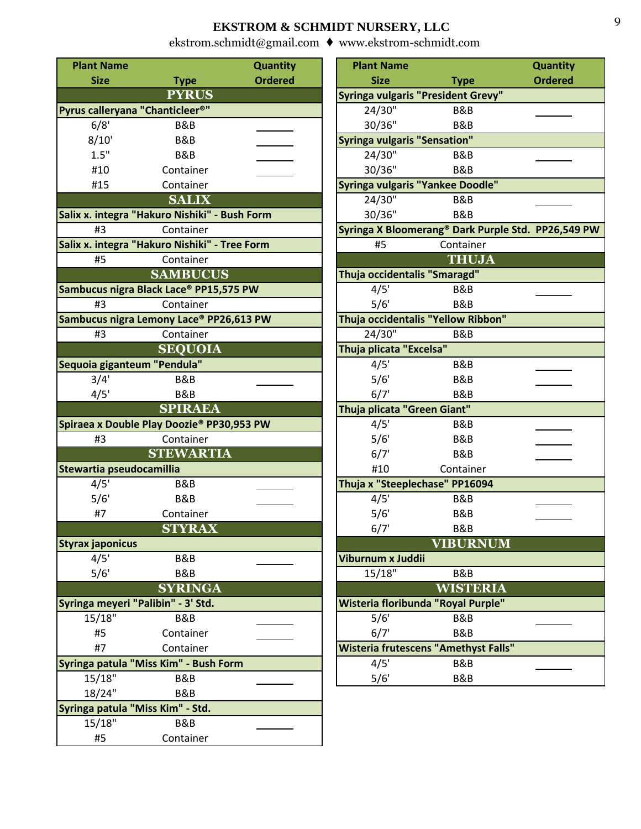| <b>Plant Name</b>                             |                                               | <b>Quantity</b> | <b>Plant Name</b>                         |                                                            | <b>Quantity</b> |
|-----------------------------------------------|-----------------------------------------------|-----------------|-------------------------------------------|------------------------------------------------------------|-----------------|
| <b>Size</b>                                   | <b>Type</b>                                   | <b>Ordered</b>  | <b>Size</b>                               | <b>Type</b>                                                | <b>Ordered</b>  |
|                                               | <b>PYRUS</b>                                  |                 | <b>Syringa vulgaris "President Grevy"</b> |                                                            |                 |
| Pyrus calleryana "Chanticleer <sup>®"</sup>   |                                               |                 | 24/30"                                    | B&B                                                        |                 |
| 6/8'                                          | <b>B&amp;B</b>                                |                 | 30/36"                                    | B&B                                                        |                 |
| 8/10'                                         | B&B                                           |                 | <b>Syringa vulgaris "Sensation"</b>       |                                                            |                 |
| 1.5"                                          | B&B                                           |                 | 24/30"                                    | B&B                                                        |                 |
| #10                                           | Container                                     |                 | 30/36"                                    | B&B                                                        |                 |
| #15                                           | Container                                     |                 | Syringa vulgaris "Yankee Doodle"          |                                                            |                 |
|                                               | <b>SALIX</b>                                  |                 | 24/30"                                    | B&B                                                        |                 |
| Salix x. integra "Hakuro Nishiki" - Bush Form |                                               |                 | 30/36"                                    | B&B                                                        |                 |
| #3                                            | Container                                     |                 |                                           | Syringa X Bloomerang <sup>®</sup> Dark Purple Std. PP26,54 |                 |
|                                               | Salix x. integra "Hakuro Nishiki" - Tree Form |                 | #5                                        | Container                                                  |                 |
| #5                                            | Container                                     |                 |                                           | <b>THUJA</b>                                               |                 |
|                                               | <b>SAMBUCUS</b>                               |                 | Thuja occidentalis "Smaragd"              |                                                            |                 |
|                                               | Sambucus nigra Black Lace® PP15,575 PW        |                 | 4/5'                                      | B&B                                                        |                 |
| #3                                            | Container                                     |                 | 5/6'                                      | B&B                                                        |                 |
|                                               | Sambucus nigra Lemony Lace® PP26,613 PW       |                 | Thuja occidentalis "Yellow Ribbon"        |                                                            |                 |
| #3                                            | Container                                     |                 | 24/30"                                    | <b>B&amp;B</b>                                             |                 |
|                                               | <b>SEQUOIA</b>                                |                 | Thuja plicata "Excelsa"                   |                                                            |                 |
| Sequoia giganteum "Pendula"                   |                                               |                 | 4/5'                                      | B&B                                                        |                 |
| 3/4'                                          | <b>B&amp;B</b>                                |                 | 5/6'                                      | B&B                                                        |                 |
| 4/5'                                          | B&B                                           |                 | 6/7'                                      | B&B                                                        |                 |
|                                               | <b>SPIRAEA</b>                                |                 | Thuja plicata "Green Giant"               |                                                            |                 |
|                                               | Spiraea x Double Play Doozie® PP30,953 PW     |                 | 4/5'                                      | B&B                                                        |                 |
| #3                                            | Container                                     |                 | 5/6'                                      | B&B                                                        |                 |
|                                               | <b>STEWARTIA</b>                              |                 | 6/7'                                      | B&B                                                        |                 |
| Stewartia pseudocamillia                      |                                               |                 | #10                                       | Container                                                  |                 |
| 4/5'                                          | B&B                                           |                 | Thuja x "Steeplechase" PP16094            |                                                            |                 |
| 5/6'                                          | <b>B&amp;B</b>                                |                 | 4/5'                                      | B&B                                                        |                 |
| #7                                            | Container                                     |                 | 5/6'                                      | <b>B&amp;B</b>                                             |                 |
|                                               | <b>STYRAX</b>                                 |                 | 6/7'                                      | B&B                                                        |                 |
| <b>Styrax japonicus</b>                       |                                               |                 |                                           | <b>VIBURNUM</b>                                            |                 |
| 4/5'                                          | <b>B&amp;B</b>                                |                 | Viburnum x Juddii                         |                                                            |                 |
| 5/6'                                          | B&B                                           |                 | 15/18"                                    | B&B                                                        |                 |
|                                               | <b>SYRINGA</b>                                |                 |                                           | <b>WISTERIA</b>                                            |                 |
| Syringa meyeri "Palibin" - 3' Std.            |                                               |                 | Wisteria floribunda "Royal Purple"        |                                                            |                 |
| 15/18"                                        | B&B                                           |                 | 5/6'                                      | B&B                                                        |                 |
| #5                                            | Container                                     |                 | 6/7'                                      | B&B                                                        |                 |
| #7                                            | Container                                     |                 |                                           | <b>Wisteria frutescens "Amethyst Falls"</b>                |                 |
|                                               | Syringa patula "Miss Kim" - Bush Form         |                 | 4/5'                                      | B&B                                                        |                 |
| 15/18"                                        | B&B                                           |                 | 5/6'                                      | <b>B&amp;B</b>                                             |                 |
| 18/24"                                        | B&B                                           |                 |                                           |                                                            |                 |
| Syringa patula "Miss Kim" - Std.              |                                               |                 |                                           |                                                            |                 |
| 15/18"                                        | B&B                                           |                 |                                           |                                                            |                 |
| #5                                            | Container                                     |                 |                                           |                                                            |                 |
|                                               |                                               |                 |                                           |                                                            |                 |

| <b>it Name</b> |                                        | <b>Quantity</b> | <b>Plant Name</b>                           |                 | Quantity                                           |
|----------------|----------------------------------------|-----------------|---------------------------------------------|-----------------|----------------------------------------------------|
| <b>Size</b>    | <b>Type</b>                            | <b>Ordered</b>  | <b>Size</b>                                 | <b>Type</b>     | <b>Ordered</b>                                     |
|                | <b>PYRUS</b>                           |                 | <b>Syringa vulgaris "President Grevy"</b>   |                 |                                                    |
|                | calleryana "Chanticleer <sup>®</sup> " |                 | $24/30$ <sup>11</sup>                       | B&B             |                                                    |
| 6/8'           | B&B                                    |                 | 30/36"                                      | B&B             |                                                    |
| 3/10'          | B&B                                    |                 | <b>Syringa vulgaris "Sensation"</b>         |                 |                                                    |
| 1.5"           | <b>B&amp;B</b>                         |                 | 24/30"                                      | B&B             |                                                    |
| #10            | Container                              |                 | 30/36"                                      | <b>B&amp;B</b>  |                                                    |
| #15            | Container                              |                 | <b>Syringa vulgaris "Yankee Doodle"</b>     |                 |                                                    |
|                | <b>SALIX</b>                           |                 | 24/30"                                      | B&B             |                                                    |
|                | integra "Hakuro Nishiki" - Bush Form   |                 | 30/36"                                      | B&B             |                                                    |
| #3             | Container                              |                 |                                             |                 | Syringa X Bloomerang® Dark Purple Std. PP26,549 PW |
|                | integra "Hakuro Nishiki" - Tree Form   |                 | #5                                          | Container       |                                                    |
| #5             | Container                              |                 |                                             | <b>THUJA</b>    |                                                    |
|                | <b>SAMBUCUS</b>                        |                 | Thuja occidentalis "Smaragd"                |                 |                                                    |
|                | cus nigra Black Lace® PP15,575 PW      |                 | 4/5'                                        | B&B             |                                                    |
| #3             | Container                              |                 | 5/6'                                        | B&B             |                                                    |
|                | cus nigra Lemony Lace® PP26,613 PW     |                 | Thuja occidentalis "Yellow Ribbon"          |                 |                                                    |
| #3             | Container                              |                 | 24/30"                                      | B&B             |                                                    |
|                | <b>SEQUOIA</b>                         |                 | Thuja plicata "Excelsa"                     |                 |                                                    |
|                | a giganteum "Pendula"                  |                 | 4/5'                                        | B&B             |                                                    |
| 3/4'           | <b>B&amp;B</b>                         |                 | 5/6'                                        | B&B             |                                                    |
| 4/5'           | <b>B&amp;B</b>                         |                 | 6/7'                                        | B&B             |                                                    |
|                | <b>SPIRAEA</b>                         |                 | Thuja plicata "Green Giant"                 |                 |                                                    |
|                | a x Double Play Doozie® PP30,953 PW    |                 | 4/5'                                        | B&B             |                                                    |
| #3             | Container                              |                 | 5/6'                                        | B&B             |                                                    |
|                | <b>STEWARTIA</b>                       |                 | 6/7'                                        | B&B             |                                                    |
|                | tia pseudocamillia                     |                 | #10                                         | Container       |                                                    |
| 4/5'           | B&B                                    |                 | Thuja x "Steeplechase" PP16094              |                 |                                                    |
| 5/6'           | B&B                                    |                 | 4/5'                                        | B&B             |                                                    |
| #7             | Container                              |                 | 5/6'                                        | B&B             |                                                    |
|                | <b>STYRAX</b>                          |                 | 6/7'                                        | B&B             |                                                    |
| japonicus      |                                        |                 |                                             | <b>VIBURNUM</b> |                                                    |
| 4/5'           | B&B                                    |                 | Viburnum x Juddii                           |                 |                                                    |
| 5/6'           | <b>B&amp;B</b>                         |                 | 15/18"                                      | B&B             |                                                    |
|                | <b>SYRINGA</b>                         |                 |                                             | <b>WISTERIA</b> |                                                    |
|                | a meyeri "Palibin" - 3' Std.           |                 | Wisteria floribunda "Royal Purple"          |                 |                                                    |
| 5/18"          | B&B                                    |                 | 5/6'                                        | B&B             |                                                    |
| #5             | Container                              |                 | 6/7'                                        | <b>B&amp;B</b>  |                                                    |
| #7             | Container                              |                 | <b>Wisteria frutescens "Amethyst Falls"</b> |                 |                                                    |
|                | a patula "Miss Kim" - Bush Form        |                 | 4/5'                                        | B&B             |                                                    |
| 5/18"          | B&B                                    |                 | 5/6'                                        | <b>B&amp;B</b>  |                                                    |